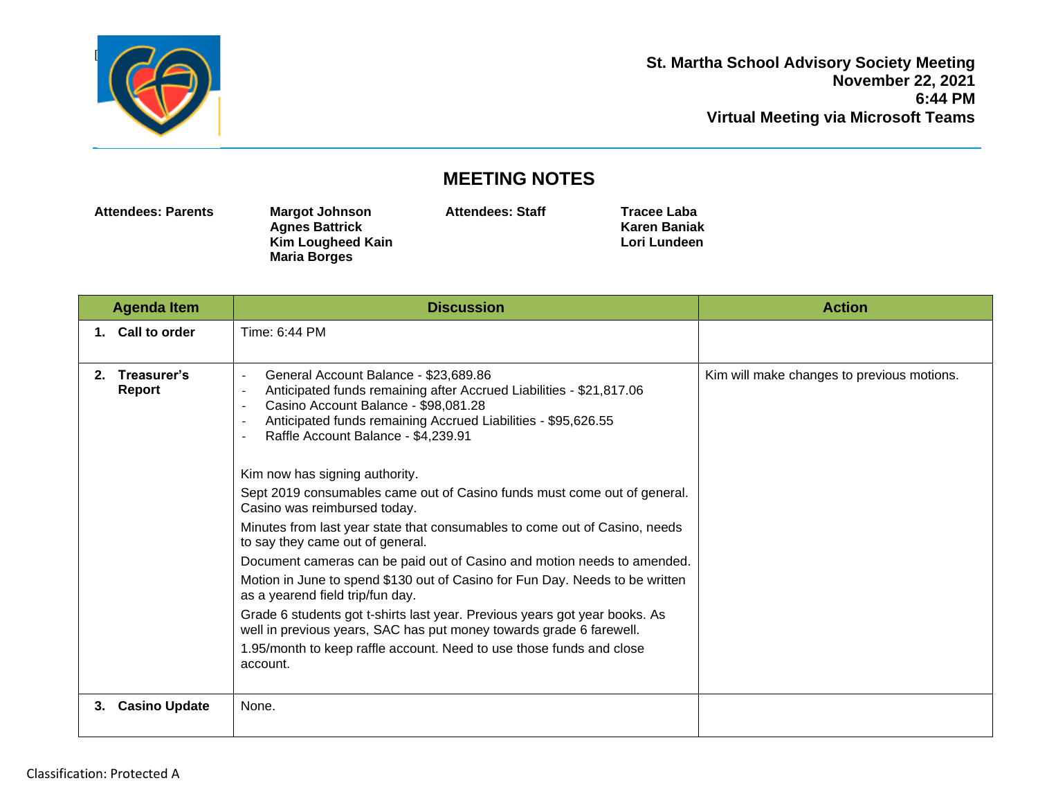

## **MEETING NOTES**

**Attendees: Parents Margot Johnson**

**Agnes Battrick Kim Lougheed Kain Maria Borges**

**Attendees: Staff Tracee Laba**

**Karen Baniak Lori Lundeen**

| <b>Agenda Item</b>          | <b>Discussion</b>                                                                                                                                                                                                                                                                                                                                                                                                                                                                                                                                                                                                                                                                                                                                                                                                                                                                                                                                                    | <b>Action</b>                              |
|-----------------------------|----------------------------------------------------------------------------------------------------------------------------------------------------------------------------------------------------------------------------------------------------------------------------------------------------------------------------------------------------------------------------------------------------------------------------------------------------------------------------------------------------------------------------------------------------------------------------------------------------------------------------------------------------------------------------------------------------------------------------------------------------------------------------------------------------------------------------------------------------------------------------------------------------------------------------------------------------------------------|--------------------------------------------|
| 1. Call to order            | Time: 6:44 PM                                                                                                                                                                                                                                                                                                                                                                                                                                                                                                                                                                                                                                                                                                                                                                                                                                                                                                                                                        |                                            |
| Treasurer's<br>2.<br>Report | General Account Balance - \$23,689.86<br>Anticipated funds remaining after Accrued Liabilities - \$21,817.06<br>Casino Account Balance - \$98,081.28<br>Anticipated funds remaining Accrued Liabilities - \$95,626.55<br>Raffle Account Balance - \$4,239.91<br>Kim now has signing authority.<br>Sept 2019 consumables came out of Casino funds must come out of general.<br>Casino was reimbursed today.<br>Minutes from last year state that consumables to come out of Casino, needs<br>to say they came out of general.<br>Document cameras can be paid out of Casino and motion needs to amended.<br>Motion in June to spend \$130 out of Casino for Fun Day. Needs to be written<br>as a yearend field trip/fun day.<br>Grade 6 students got t-shirts last year. Previous years got year books. As<br>well in previous years, SAC has put money towards grade 6 farewell.<br>1.95/month to keep raffle account. Need to use those funds and close<br>account. | Kim will make changes to previous motions. |
| <b>Casino Update</b><br>3.  | None.                                                                                                                                                                                                                                                                                                                                                                                                                                                                                                                                                                                                                                                                                                                                                                                                                                                                                                                                                                |                                            |